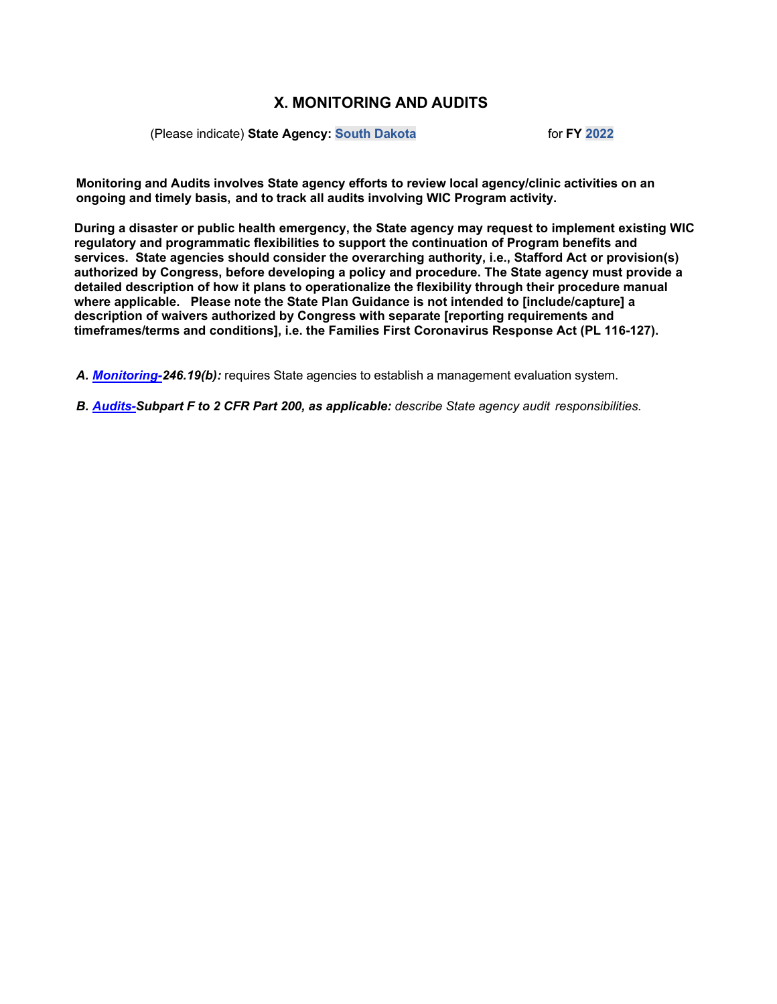### (Please indicate) **State Agency: South Dakota** for **FY 2022**

**Monitoring and Audits involves State agency efforts to review local agency/clinic activities on an ongoing and timely basis, and to track all audits involving WIC Program activity.**

**During a disaster or public health emergency, the State agency may request to implement existing WIC regulatory and programmatic flexibilities to support the continuation of Program benefits and services. State agencies should consider the overarching authority, i.e., Stafford Act or provision(s) authorized by Congress, before developing a policy and procedure. The State agency must provide a detailed description of how it plans to operationalize the flexibility through their procedure manual where applicable. Please note the State Plan Guidance is not intended to [include/capture] a description of waivers authorized by Congress with separate [reporting requirements and timeframes/terms and conditions], i.e. the Families First Coronavirus Response Act (PL 116-127).**

*A. [Monitoring-2](#page-1-0)46.19(b):* requires State agencies to establish a management evaluation system.

*B. [Audits-S](#page-4-0)ubpart F to 2 CFR Part 200, as applicable: describe State agency audit responsibilities.*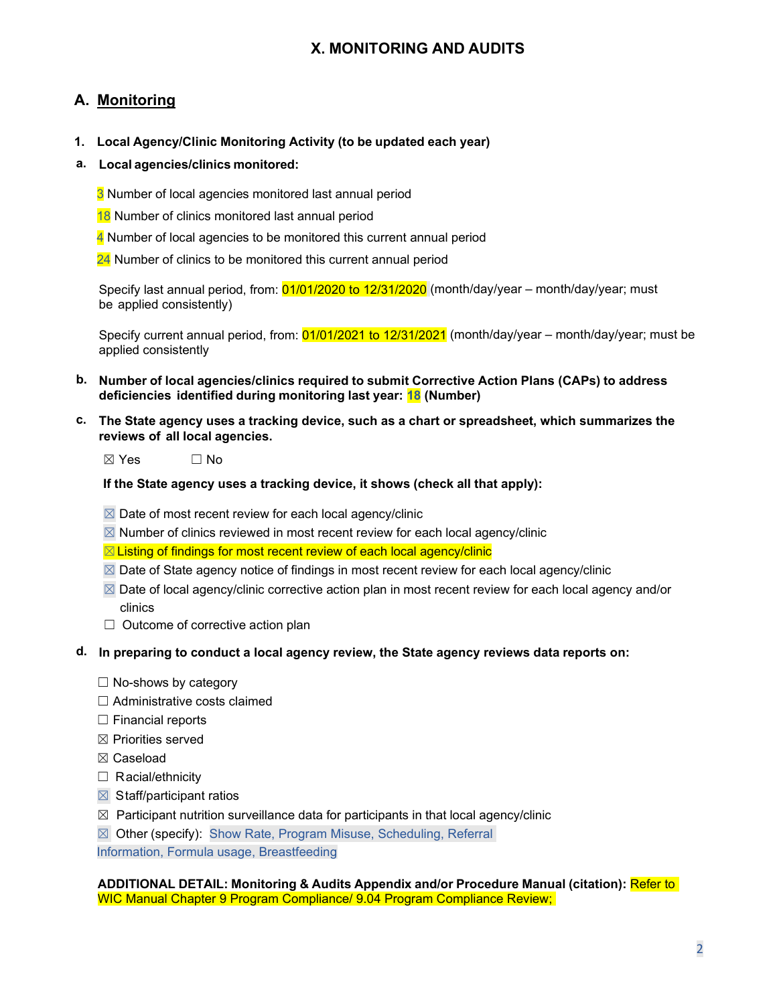# <span id="page-1-0"></span>**A. Monitoring**

- **1. Local Agency/Clinic Monitoring Activity (to be updated each year)**
- **a. Local agencies/clinics monitored:**
	- 3 Number of local agencies monitored last annual period
	- 18 Number of clinics monitored last annual period
	- 4 Number of local agencies to be monitored this current annual period
	- 24 Number of clinics to be monitored this current annual period

Specify last annual period, from: 01/01/2020 to 12/31/2020 (month/day/year – month/day/year; must be applied consistently)

Specify current annual period, from: 01/01/2021 to 12/31/2021 (month/day/year – month/day/year; must be applied consistently

- **b. Number of local agencies/clinics required to submit Corrective Action Plans (CAPs) to address deficiencies identified during monitoring last year: 18 (Number)**
- **c. The State agency uses a tracking device, such as a chart or spreadsheet, which summarizes the reviews of all local agencies.**

 $\boxtimes$  Yes  $\Box$  No

**If the State agency uses a tracking device, it shows (check all that apply):**

- $\boxtimes$  Date of most recent review for each local agency/clinic
- $\boxtimes$  Number of clinics reviewed in most recent review for each local agency/clinic

⊠ Listing of findings for most recent review of each local agency/clinic

- $\boxtimes$  Date of State agency notice of findings in most recent review for each local agency/clinic
- $\boxtimes$  Date of local agency/clinic corrective action plan in most recent review for each local agency and/or clinics
- $\Box$  Outcome of corrective action plan
- **d. In preparing to conduct a local agency review, the State agency reviews data reports on:**
	- $\Box$  No-shows by category
	- ☐ Administrative costs claimed
	- ☐ Financial reports
	- $\boxtimes$  Priorities served
	- ☒ Caseload
	- □ Racial/ethnicity
	- $\boxtimes$  Staff/participant ratios
	- $\boxtimes$  Participant nutrition surveillance data for participants in that local agency/clinic
	- ☒ Other (specify): Show Rate, Program Misuse, Scheduling, Referral

Information, Formula usage, Breastfeeding

#### **ADDITIONAL DETAIL: Monitoring & Audits Appendix and/or Procedure Manual (citation):** Refer to WIC Manual Chapter 9 Program Compliance/ 9.04 Program Compliance Review;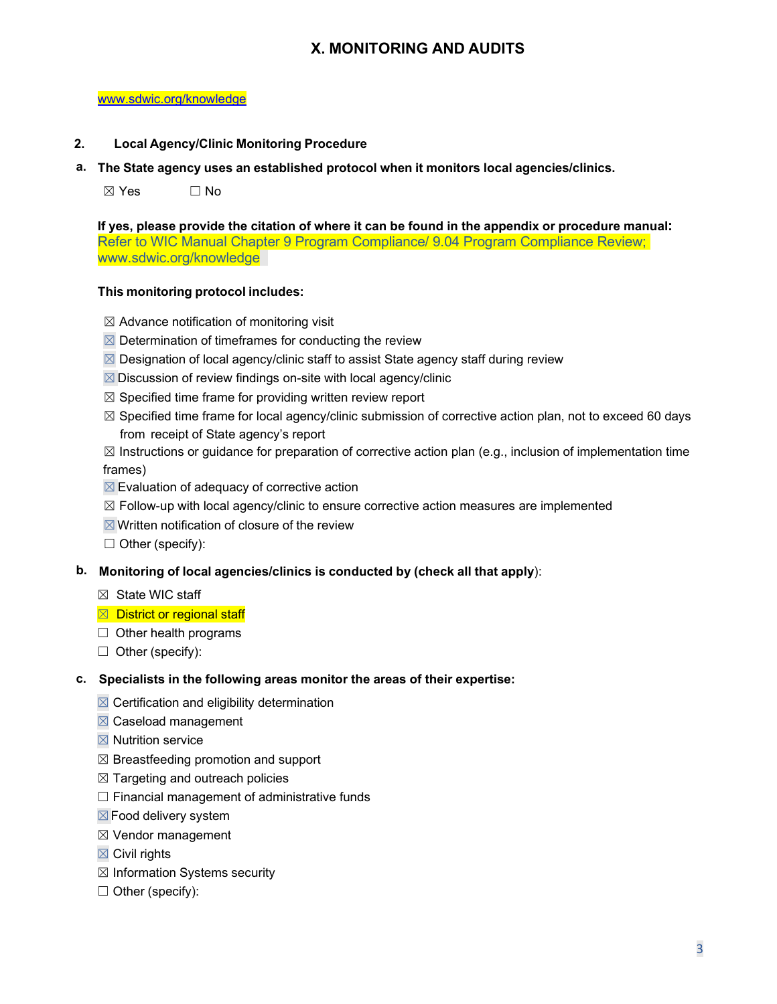#### [www.sdwic.org/knowledge](http://www.sdwic.org/knowledge)

### **2. Local Agency/Clinic Monitoring Procedure**

**a. The State agency uses an established protocol when it monitors local agencies/clinics.**

 $\boxtimes$  Yes  $\Box$  No

**If yes, please provide the citation of where it can be found in the appendix or procedure manual:** Refer to WIC Manual Chapter 9 Program Compliance/ 9.04 Program Compliance Review; www.sdwic.org/knowledge

### **This monitoring protocol includes:**

- $\boxtimes$  Advance notification of monitoring visit
- $\boxtimes$  Determination of timeframes for conducting the review
- $\boxtimes$  Designation of local agency/clinic staff to assist State agency staff during review
- $\boxtimes$  Discussion of review findings on-site with local agency/clinic
- $\boxtimes$  Specified time frame for providing written review report
- $\boxtimes$  Specified time frame for local agency/clinic submission of corrective action plan, not to exceed 60 days from receipt of State agency's report
- $\boxtimes$  Instructions or guidance for preparation of corrective action plan (e.g., inclusion of implementation time frames)
- $\boxtimes$  Evaluation of adequacy of corrective action
- $\boxtimes$  Follow-up with local agency/clinic to ensure corrective action measures are implemented
- $\boxtimes$  Written notification of closure of the review
- $\Box$  Other (specify):
- **b. Monitoring of local agencies/clinics is conducted by (check all that apply**):
	- $\boxtimes$  State WIC staff
	- $\boxtimes$  District or regional staff
	- $\Box$  Other health programs
	- $\Box$  Other (specify):

#### **c. Specialists in the following areas monitor the areas of their expertise:**

- $\boxtimes$  Certification and eligibility determination
- ☒ Caseload management
- $\boxtimes$  Nutrition service
- $\boxtimes$  Breastfeeding promotion and support
- $\boxtimes$  Targeting and outreach policies
- $\Box$  Financial management of administrative funds
- ☒Food delivery system
- ☒ Vendor management
- $\boxtimes$  Civil rights
- $\boxtimes$  Information Systems security
- ☐ Other (specify):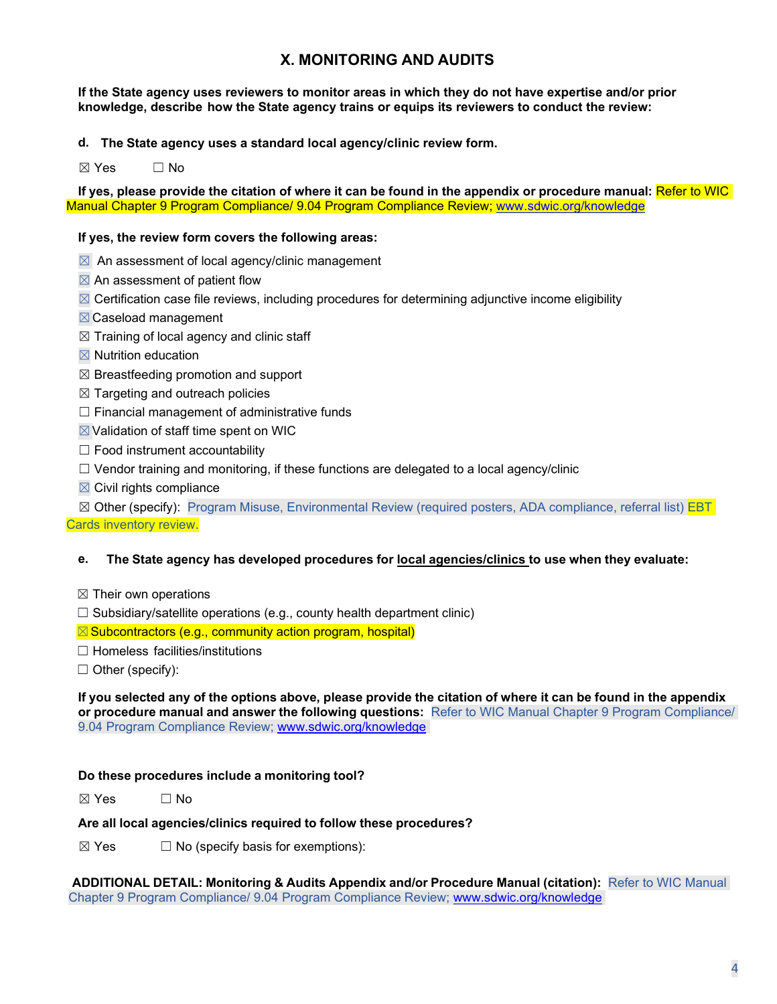**If the State agency uses reviewers to monitor areas in which they do not have expertise and/or prior knowledge, describe how the State agency trains or equips its reviewers to conduct the review:**

**d. The State agency uses a standard local agency/clinic review form.**

 $\boxtimes$  Yes  $\Box$  No

If yes, please provide the citation of where it can be found in the appendix or procedure manual: Refer to WIC Manual Chapter 9 Program Compliance/ 9.04 Program Compliance Review; [www.sdwic.org/knowledge](http://www.sdwic.org/knowledge)

### **If yes, the review form covers the following areas:**

- $\boxtimes$  An assessment of local agency/clinic management
- $\boxtimes$  An assessment of patient flow
- $\boxtimes$  Certification case file reviews, including procedures for determining adjunctive income eligibility
- ☒Caseload management
- $\boxtimes$  Training of local agency and clinic staff
- $\boxtimes$  Nutrition education
- $\boxtimes$  Breastfeeding promotion and support
- $\boxtimes$  Targeting and outreach policies
- $\Box$  Financial management of administrative funds
- ☒Validation of staff time spent on WIC
- $\Box$  Food instrument accountability
- $\Box$  Vendor training and monitoring, if these functions are delegated to a local agency/clinic
- $\boxtimes$  Civil rights compliance

⊠ Other (specify): Program Misuse, Environmental Review (required posters, ADA compliance, referral list) **EBT** 

Cards inventory review.

#### **e. The State agency has developed procedures for local agencies/clinics to use when they evaluate:**

- $\boxtimes$  Their own operations
- $\Box$  Subsidiary/satellite operations (e.g., county health department clinic)

 $\boxtimes$  Subcontractors (e.g., community action program, hospital)

☐ Homeless facilities/institutions

 $\Box$  Other (specify):

If you selected any of the options above, please provide the citation of where it can be found in the appendix **or procedure manual and answer the following questions:** Refer to WIC Manual Chapter 9 Program Compliance/ 9.04 Program Compliance Review; [www.sdwic.org/knowledge](http://www.sdwic.org/knowledge)

### **Do these procedures include a monitoring tool?**

 $\boxtimes$  Yes  $\Box$  No

## **Are all local agencies/clinics required to follow these procedures?**

 $\boxtimes$  Yes  $\Box$  No (specify basis for exemptions):

**ADDITIONAL DETAIL: Monitoring & Audits Appendix and/or Procedure Manual (citation):** Refer to WIC Manual Chapter 9 Program Compliance/ 9.04 Program Compliance Review; [www.sdwic.org/knowledge](http://www.sdwic.org/knowledge)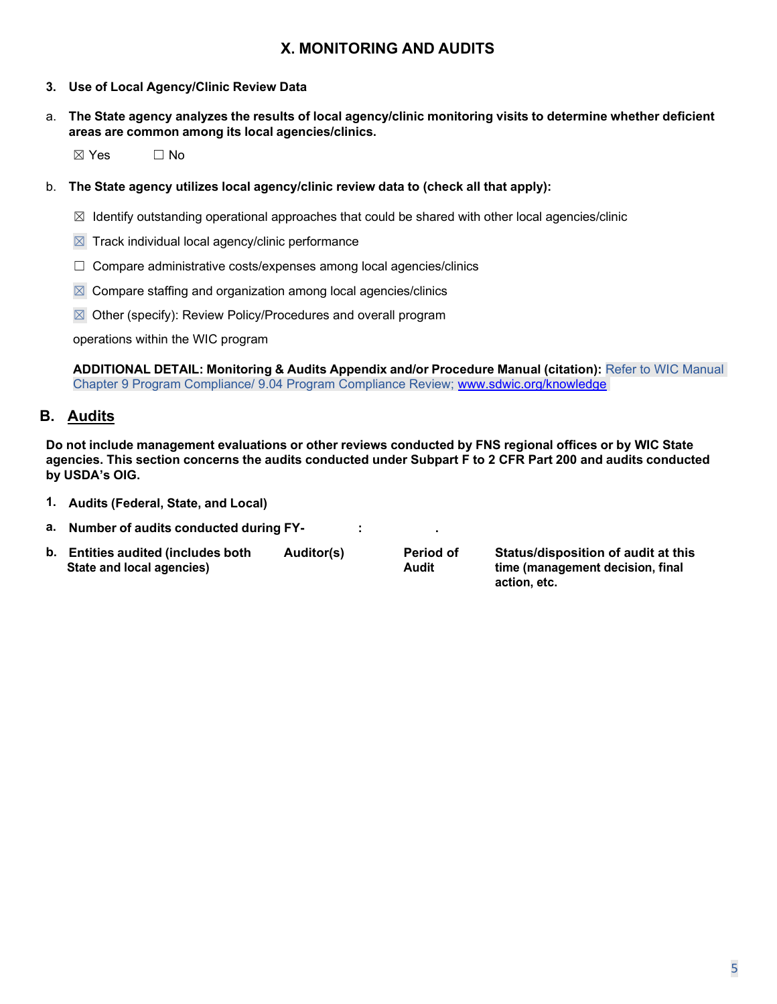- **3. Use of Local Agency/Clinic Review Data**
- a. **The State agency analyzes the results of local agency/clinic monitoring visits to determine whether deficient areas are common among its local agencies/clinics.**

 $\boxtimes$  Yes  $\Box$  No

- b. **The State agency utilizes local agency/clinic review data to (check all that apply):**
	- $\boxtimes$  Identify outstanding operational approaches that could be shared with other local agencies/clinic
	- $\boxtimes$  Track individual local agency/clinic performance
	- $\Box$  Compare administrative costs/expenses among local agencies/clinics
	- $\boxtimes$  Compare staffing and organization among local agencies/clinics
	- $\boxtimes$  Other (specify): Review Policy/Procedures and overall program

operations within the WIC program

**ADDITIONAL DETAIL: Monitoring & Audits Appendix and/or Procedure Manual (citation):** Refer to WIC Manual Chapter 9 Program Compliance/ 9.04 Program Compliance Review; [www.sdwic.org/knowledge](http://www.sdwic.org/knowledge)

## <span id="page-4-0"></span>**B. Audits**

**Do not include management evaluations or other reviews conducted by FNS regional offices or by WIC State** agencies. This section concerns the audits conducted under Subpart F to 2 CFR Part 200 and audits conducted **by USDA's OIG.**

- **1. Audits (Federal, State, and Local)**
- **a. Number of audits conducted during FY- : .**
- **b. Entities audited (includes both Auditor(s) Period of Status/disposition of audit at this State and local agencies) Audit time (management decision, final**

**action, etc.**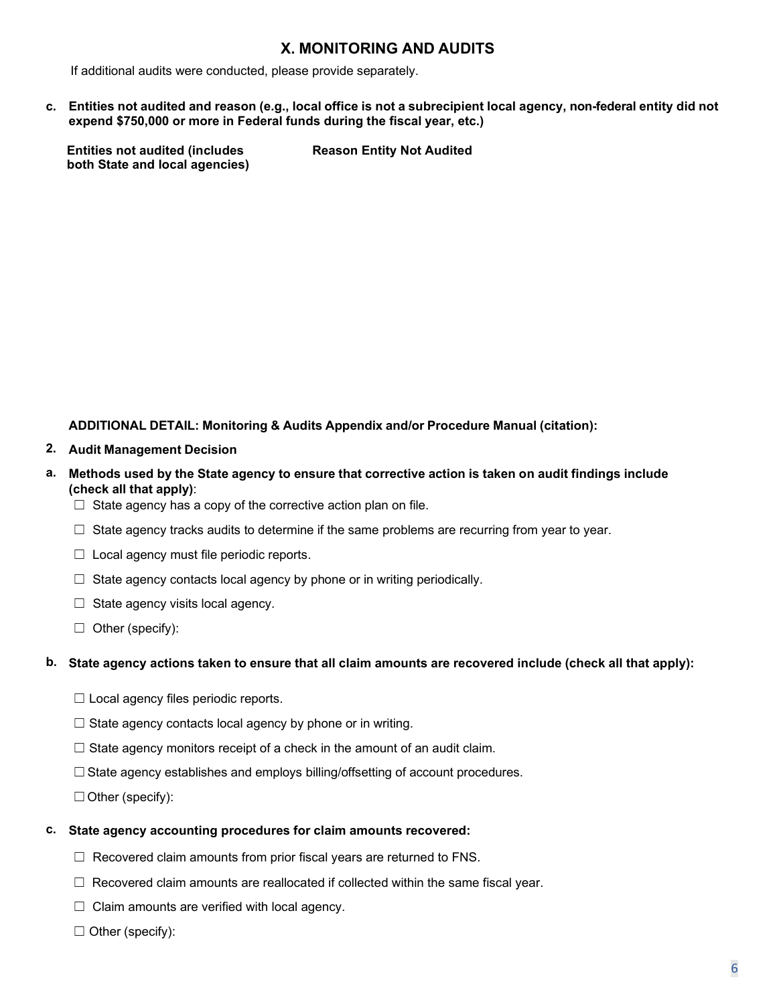If additional audits were conducted, please provide separately.

c. Entities not audited and reason (e.g., local office is not a subrecipient local agency, non-federal entity did not **expend \$750,000 or more in Federal funds during the fiscal year, etc.)**

**Entities not audited (includes Reason Entity Not Audited both State and local agencies)**

### **ADDITIONAL DETAIL: Monitoring & Audits Appendix and/or Procedure Manual (citation):**

- **2. Audit Management Decision**
- a. Methods used by the State agency to ensure that corrective action is taken on audit findings include **(check all that apply)**:
	- $\Box$  State agency has a copy of the corrective action plan on file.
	- $\Box$  State agency tracks audits to determine if the same problems are recurring from year to year.
	- $\Box$  Local agency must file periodic reports.
	- $\Box$  State agency contacts local agency by phone or in writing periodically.
	- $\Box$  State agency visits local agency.
	- ☐ Other (specify):

#### b. State agency actions taken to ensure that all claim amounts are recovered include (check all that apply):

- $\Box$  Local agency files periodic reports.
- $\Box$  State agency contacts local agency by phone or in writing.
- $\Box$  State agency monitors receipt of a check in the amount of an audit claim.
- ☐State agency establishes and employs billing/offsetting of account procedures.

☐Other (specify):

#### **c. State agency accounting procedures for claim amounts recovered:**

- ☐ Recovered claim amounts from prior fiscal years are returned to FNS.
- $\Box$  Recovered claim amounts are reallocated if collected within the same fiscal year.
- $\Box$  Claim amounts are verified with local agency.
- ☐ Other (specify):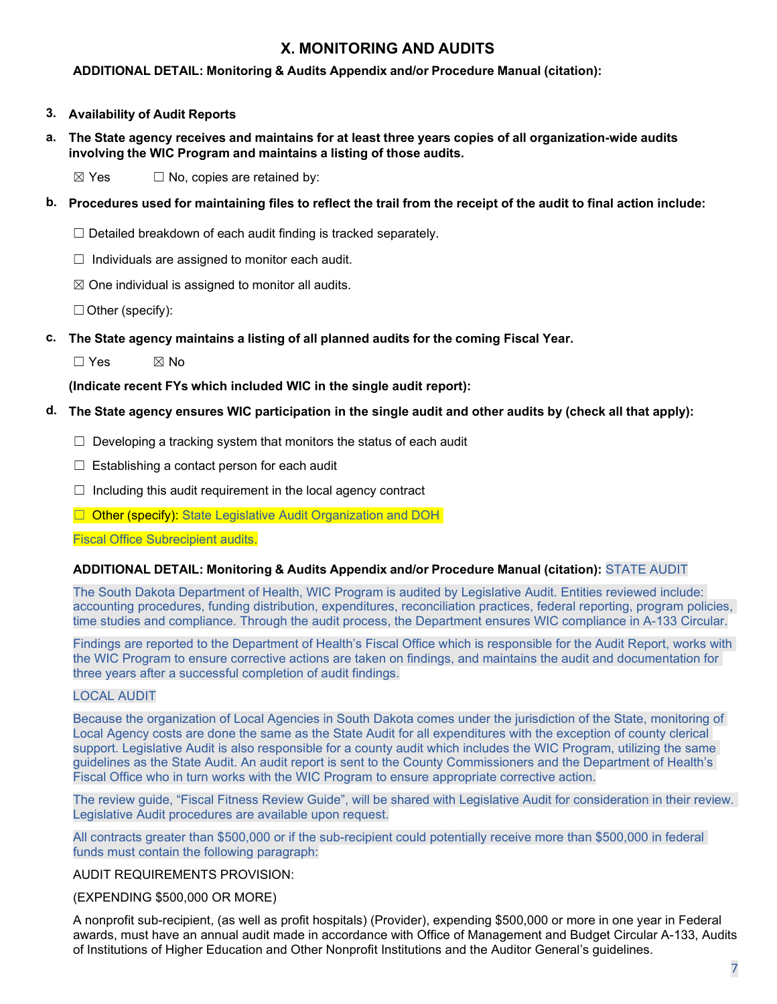### **ADDITIONAL DETAIL: Monitoring & Audits Appendix and/or Procedure Manual (citation):**

- **3. Availability of Audit Reports**
- a. The State agency receives and maintains for at least three years copies of all organization-wide audits **involving the WIC Program and maintains a listing of those audits.**

 $\boxtimes$  Yes  $\Box$  No, copies are retained by:

- b. Procedures used for maintaining files to reflect the trail from the receipt of the audit to final action include:
	- $\Box$  Detailed breakdown of each audit finding is tracked separately.
	- $\Box$  Individuals are assigned to monitor each audit.
	- $\boxtimes$  One individual is assigned to monitor all audits.

 $\Box$  Other (specify):

**c. The State agency maintains a listing of all planned audits for the coming Fiscal Year.**

 $\square$  Yes  $\square$  No

**(Indicate recent FYs which included WIC in the single audit report):**

- **d. The State agency ensures WIC participation in the single audit and other audits by (check all that apply):**
	- $\Box$  Developing a tracking system that monitors the status of each audit
	- $\Box$  Establishing a contact person for each audit
	- $\Box$  Including this audit requirement in the local agency contract
	- □ Other (specify): State Legislative Audit Organization and DOH

Fiscal Office Subrecipient audits.

#### **ADDITIONAL DETAIL: Monitoring & Audits Appendix and/or Procedure Manual (citation):** STATE AUDIT

The South Dakota Department of Health, WIC Program is audited by Legislative Audit. Entities reviewed include: accounting procedures, funding distribution, expenditures, reconciliation practices, federal reporting, program policies, time studies and compliance. Through the audit process, the Department ensures WIC compliance in A-133 Circular.

Findings are reported to the Department of Health's Fiscal Office which is responsible for the Audit Report, works with the WIC Program to ensure corrective actions are taken on findings, and maintains the audit and documentation for three years after a successful completion of audit findings.

### LOCAL AUDIT

Because the organization of Local Agencies in South Dakota comes under the jurisdiction of the State, monitoring of Local Agency costs are done the same as the State Audit for all expenditures with the exception of county clerical support. Legislative Audit is also responsible for a county audit which includes the WIC Program, utilizing the same guidelines as the State Audit. An audit report is sent to the County Commissioners and the Department of Health's Fiscal Office who in turn works with the WIC Program to ensure appropriate corrective action.

The review guide, "Fiscal Fitness Review Guide", will be shared with Legislative Audit for consideration in their review. Legislative Audit procedures are available upon request.

All contracts greater than \$500,000 or if the sub-recipient could potentially receive more than \$500,000 in federal funds must contain the following paragraph:

#### AUDIT REQUIREMENTS PROVISION:

#### (EXPENDING \$500,000 OR MORE)

A nonprofit sub-recipient, (as well as profit hospitals) (Provider), expending \$500,000 or more in one year in Federal awards, must have an annual audit made in accordance with Office of Management and Budget Circular A-133, Audits of Institutions of Higher Education and Other Nonprofit Institutions and the Auditor General's guidelines.